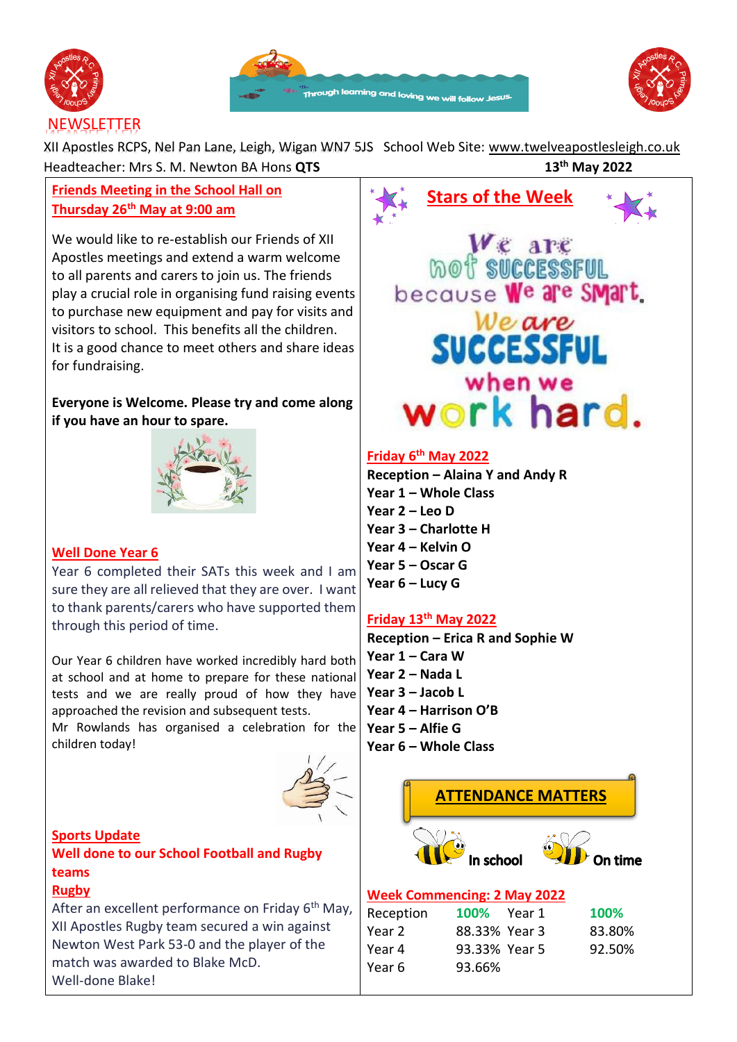





XII Apostles RCPS, Nel Pan Lane, Leigh, Wigan WN7 5JS School Web Site: [www.twelveapostlesleigh.co.uk](http://www.twelveapostlesleigh.co.uk/)  Headteacher: Mrs S. M. Newton BA Hons **QTS 13th May 2022**

# **Friends Meeting in the School Hall on Thursday 26th May at 9:00 am**

We would like to re-establish our Friends of XII Apostles meetings and extend a warm welcome to all parents and carers to join us. The friends play a crucial role in organising fund raising events to purchase new equipment and pay for visits and visitors to school. This benefits all the children. It is a good chance to meet others and share ideas for fundraising.

## **Everyone is Welcome. Please try and come along if you have an hour to spare.**



## **Well Done Year 6**

Year 6 completed their SATs this week and I am sure they are all relieved that they are over. I want to thank parents/carers who have supported them through this period of time.

Our Year 6 children have worked incredibly hard both at school and at home to prepare for these national tests and we are really proud of how they have approached the revision and subsequent tests.

Mr Rowlands has organised a celebration for the children today!



**Sports Update Well done to our School Football and Rugby teams** 

# **Rugby**

After an excellent performance on Friday  $6<sup>th</sup>$  May, XII Apostles Rugby team secured a win against Newton West Park 53-0 and the player of the match was awarded to Blake McD. Well-done Blake!

 **Stars of the Week** WE are<br>
mot successful<br>
because We are SMart. Weare SUCCESSFUL when we work hard.

## **Friday 6 th May 2022**

**Reception – Alaina Y and Andy R Year 1 – Whole Class Year 2 – Leo D Year 3 – Charlotte H Year 4 – Kelvin O Year 5 – Oscar G Year 6 – Lucy G**

## **Friday 13th May 2022**

**Reception – Erica R and Sophie W Year 1 – Cara W Year 2 – Nada L Year 3 – Jacob L Year 4 – Harrison O'B Year 5 – Alfie G Year 6 – Whole Class**



## **Week Commencing: 2 May 2022**

|        | <b>100%</b>                                          |
|--------|------------------------------------------------------|
|        | 83.80%                                               |
|        | 92.50%                                               |
| 93.66% |                                                      |
|        | <b>100%</b> Year 1<br>88.33% Year 3<br>93.33% Year 5 |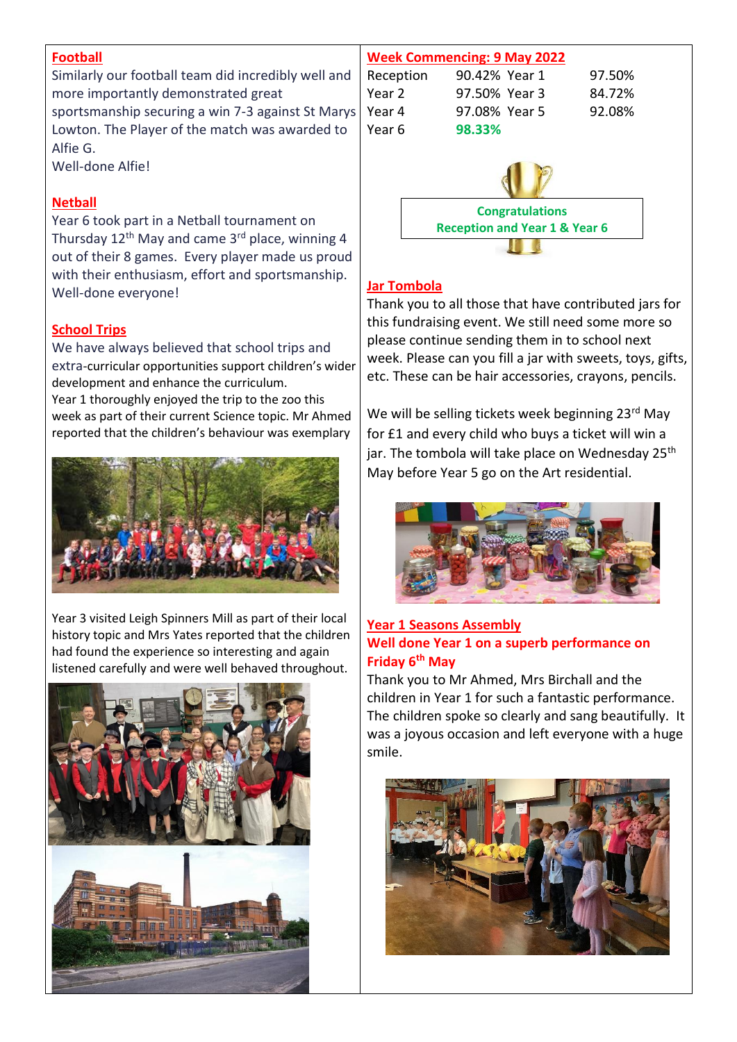## **Football**

Similarly our football team did incredibly well and more importantly demonstrated great sportsmanship securing a win 7-3 against St Marys Lowton. The Player of the match was awarded to Alfie G.

Well-done Alfie!

## **Netball**

Year 6 took part in a Netball tournament on Thursday  $12<sup>th</sup>$  May and came  $3<sup>rd</sup>$  place, winning 4 out of their 8 games. Every player made us proud with their enthusiasm, effort and sportsmanship. Well-done everyone!

## **School Trips**

We have always believed that school trips and extra-curricular opportunities support children's wider development and enhance the curriculum.

Year 1 thoroughly enjoyed the trip to the zoo this week as part of their current Science topic. Mr Ahmed reported that the children's behaviour was exemplary



Year 3 visited Leigh Spinners Mill as part of their local history topic and Mrs Yates reported that the children had found the experience so interesting and again listened carefully and were well behaved throughout.





## **Jar Tombola**

Thank you to all those that have contributed jars for this fundraising event. We still need some more so please continue sending them in to school next week. Please can you fill a jar with sweets, toys, gifts, etc. These can be hair accessories, crayons, pencils.

We will be selling tickets week beginning 23<sup>rd</sup> May for £1 and every child who buys a ticket will win a jar. The tombola will take place on Wednesday 25<sup>th</sup> May before Year 5 go on the Art residential.



## **Year 1 Seasons Assembly Well done Year 1 on a superb performance on Friday 6th May**

Thank you to Mr Ahmed, Mrs Birchall and the children in Year 1 for such a fantastic performance. The children spoke so clearly and sang beautifully. It was a joyous occasion and left everyone with a huge smile.

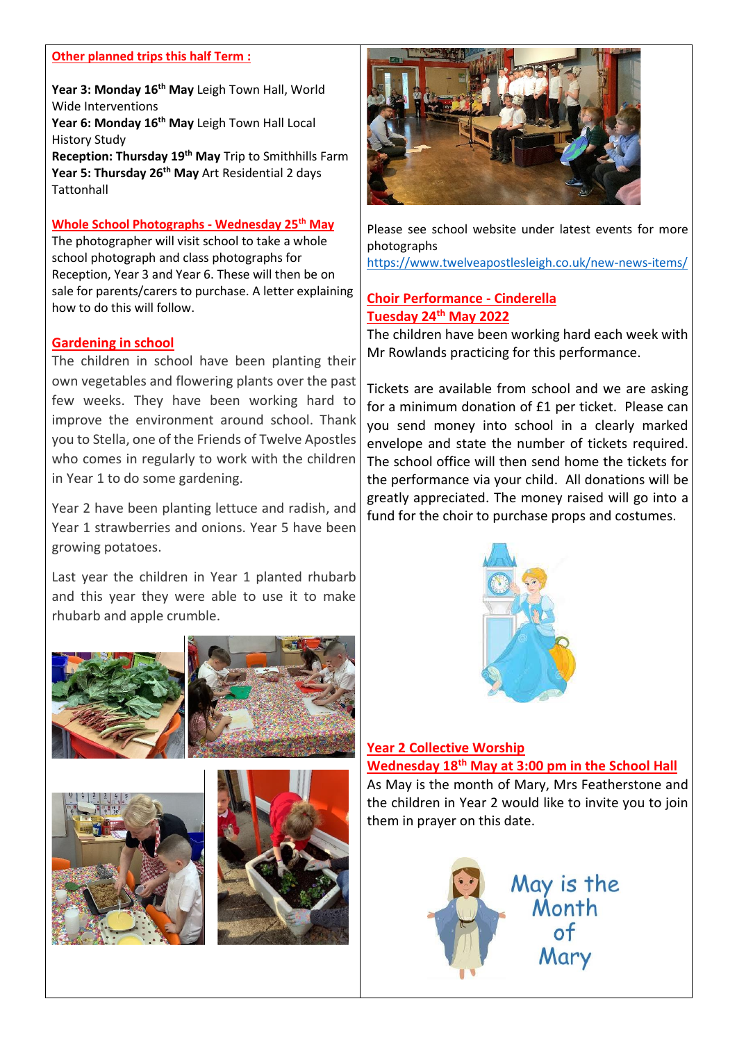### **Other planned trips this half Term :**

**Year 3: Monday 16th May** Leigh Town Hall, World Wide Interventions

**Year 6: Monday 16th May** Leigh Town Hall Local History Study

**Reception: Thursday 19th May** Trip to Smithhills Farm **Year 5: Thursday 26th May** Art Residential 2 days **Tattonhall** 

#### **Whole School Photographs - Wednesday 25th May**

The photographer will visit school to take a whole school photograph and class photographs for Reception, Year 3 and Year 6. These will then be on sale for parents/carers to purchase. A letter explaining how to do this will follow.

#### **Gardening in school**

The children in school have been planting their own vegetables and flowering plants over the past few weeks. They have been working hard to improve the environment around school. Thank you to Stella, one of the Friends of Twelve Apostles who comes in regularly to work with the children in Year 1 to do some gardening.

Year 2 have been planting lettuce and radish, and Year 1 strawberries and onions. Year 5 have been growing potatoes.

Last year the children in Year 1 planted rhubarb and this year they were able to use it to make rhubarb and apple crumble.









Please see school website under latest events for more photographs <https://www.twelveapostlesleigh.co.uk/new-news-items/>

### **Choir Performance - Cinderella Tuesday 24th May 2022**

The children have been working hard each week with Mr Rowlands practicing for this performance.

Tickets are available from school and we are asking for a minimum donation of £1 per ticket. Please can you send money into school in a clearly marked envelope and state the number of tickets required. The school office will then send home the tickets for the performance via your child. All donations will be greatly appreciated. The money raised will go into a fund for the choir to purchase props and costumes.



### **Year 2 Collective Worship**

## **Wednesday 18th May at 3:00 pm in the School Hall**

As May is the month of Mary, Mrs Featherstone and the children in Year 2 would like to invite you to join them in prayer on this date.

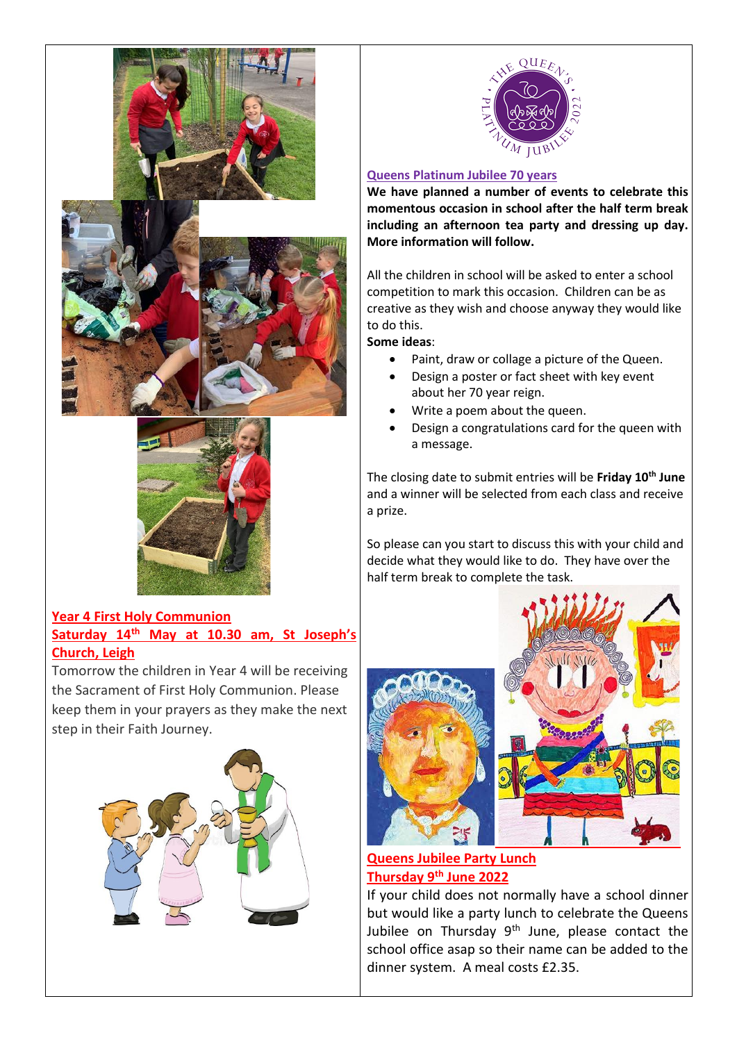





## **Year 4 First Holy Communion Saturday 14th May at 10.30 am, St Joseph's Church, Leigh**

Tomorrow the children in Year 4 will be receiving the Sacrament of First Holy Communion. Please keep them in your prayers as they make the next step in their Faith Journey.





### **Queens Platinum Jubilee 70 years**

**We have planned a number of events to celebrate this momentous occasion in school after the half term break including an afternoon tea party and dressing up day. More information will follow.** 

All the children in school will be asked to enter a school competition to mark this occasion. Children can be as creative as they wish and choose anyway they would like to do this.

**Some ideas**:

- Paint, draw or collage a picture of the Queen.
- Design a poster or fact sheet with key event about her 70 year reign.
- Write a poem about the queen.
- Design a congratulations card for the queen with a message.

The closing date to submit entries will be **Friday 10th June** and a winner will be selected from each class and receive a prize.

So please can you start to discuss this with your child and decide what they would like to do. They have over the half term break to complete the task.





## **Queens Jubilee Party Lunch Thursday 9th June 2022**

If your child does not normally have a school dinner but would like a party lunch to celebrate the Queens Jubilee on Thursday 9<sup>th</sup> June, please contact the school office asap so their name can be added to the dinner system. A meal costs £2.35.